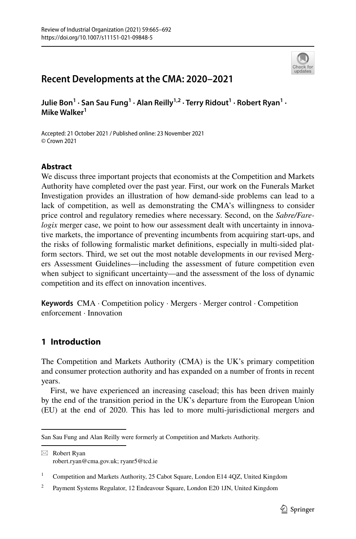

# **Recent Developments at the CMA: 2020–2021**

Julie Bon<sup>1</sup> · San Sau Fung<sup>1</sup> · Alan Reilly<sup>1,2</sup> · Terry Ridout<sup>1</sup> · Robert Ryan<sup>1</sup> · **Mike Walker<sup>1</sup>**

Accepted: 21 October 2021 / Published online: 23 November 2021 © Crown 2021

## **Abstract**

We discuss three important projects that economists at the Competition and Markets Authority have completed over the past year. First, our work on the Funerals Market Investigation provides an illustration of how demand-side problems can lead to a lack of competition, as well as demonstrating the CMA's willingness to consider price control and regulatory remedies where necessary. Second, on the *Sabre/Farelogix* merger case, we point to how our assessment dealt with uncertainty in innovative markets, the importance of preventing incumbents from acquiring start-ups, and the risks of following formalistic market defnitions, especially in multi-sided platform sectors. Third, we set out the most notable developments in our revised Mergers Assessment Guidelines—including the assessment of future competition even when subject to significant uncertainty—and the assessment of the loss of dynamic competition and its efect on innovation incentives.

**Keywords** CMA · Competition policy · Mergers · Merger control · Competition enforcement · Innovation

# **1 Introduction**

The Competition and Markets Authority (CMA) is the UK's primary competition and consumer protection authority and has expanded on a number of fronts in recent years.

First, we have experienced an increasing caseload; this has been driven mainly by the end of the transition period in the UK's departure from the European Union (EU) at the end of 2020. This has led to more multi-jurisdictional mergers and

 $\boxtimes$  Robert Ryan robert.ryan@cma.gov.uk; ryanr5@tcd.ie

San Sau Fung and Alan Reilly were formerly at Competition and Markets Authority.

<sup>&</sup>lt;sup>1</sup> Competition and Markets Authority, 25 Cabot Square, London E14 4QZ, United Kingdom

<sup>&</sup>lt;sup>2</sup> Payment Systems Regulator, 12 Endeavour Square, London E20 1JN, United Kingdom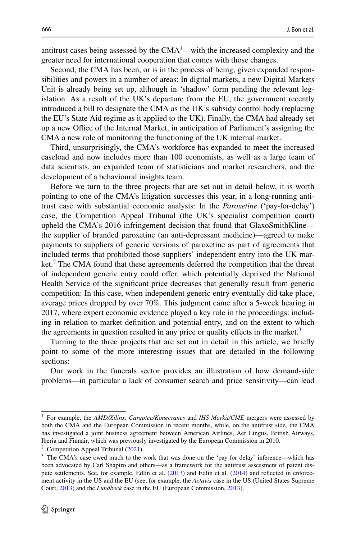antitrust cases being assessed by the  $CMA<sup>1</sup>$  $CMA<sup>1</sup>$  $CMA<sup>1</sup>$ —with the increased complexity and the greater need for international cooperation that comes with those changes.

Second, the CMA has been, or is in the process of being, given expanded responsibilities and powers in a number of areas: In digital markets, a new Digital Markets Unit is already being set up, although in 'shadow' form pending the relevant legislation. As a result of the UK's departure from the EU, the government recently introduced a bill to designate the CMA as the UK's subsidy control body (replacing the EU's State Aid regime as it applied to the UK). Finally, the CMA had already set up a new Office of the Internal Market, in anticipation of Parliament's assigning the CMA a new role of monitoring the functioning of the UK internal market.

Third, unsurprisingly, the CMA's workforce has expanded to meet the increased caseload and now includes more than 100 economists, as well as a large team of data scientists, an expanded team of statisticians and market researchers, and the development of a behavioural insights team.

Before we turn to the three projects that are set out in detail below, it is worth pointing to one of the CMA's litigation successes this year, in a long-running antitrust case with substantial economic analysis: In the *Paroxetine* ('pay-for-delay') case, the Competition Appeal Tribunal (the UK's specialist competition court) upheld the CMA's 2016 infringement decision that found that GlaxoSmithKline the supplier of branded paroxetine (an anti-depressant medicine)—agreed to make payments to suppliers of generic versions of paroxetine as part of agreements that included terms that prohibited those suppliers' independent entry into the UK mar-ket.<sup>[2](#page-1-1)</sup> The CMA found that these agreements deferred the competition that the threat of independent generic entry could ofer, which potentially deprived the National Health Service of the signifcant price decreases that generally result from generic competition: In this case, when independent generic entry eventually did take place, average prices dropped by over 70%. This judgment came after a 5-week hearing in 2017, where expert economic evidence played a key role in the proceedings: including in relation to market defnition and potential entry, and on the extent to which the agreements in question resulted in any price or quality effects in the market.<sup>[3](#page-1-2)</sup>

Turning to the three projects that are set out in detail in this article, we briefy point to some of the more interesting issues that are detailed in the following sections:

Our work in the funerals sector provides an illustration of how demand-side problems—in particular a lack of consumer search and price sensitivity—can lead

<span id="page-1-0"></span><sup>1</sup> For example, the *AMD/Xilinx*, *Cargotec/Konecranes* and *IHS Markit/CME* mergers were assessed by both the CMA and the European Commission in recent months, while, on the antitrust side, the CMA has investigated a joint business agreement between American Airlines, Aer Lingus, British Airways, Iberia and Finnair, which was previously investigated by the European Commission in 2010.

<span id="page-1-1"></span><sup>&</sup>lt;sup>2</sup> Competition Appeal Tribunal  $(2021)$  $(2021)$ .

<span id="page-1-2"></span><sup>&</sup>lt;sup>3</sup> The CMA's case owed much to the work that was done on the 'pay for delay' inference—which has been advocated by Carl Shapiro and others—as a framework for the antitrust assessment of patent dis-pute settlements. See, for example, Edlin et al. ([2013\)](#page-26-1) and Edlin et al. [\(2014](#page-26-2)) and reflected in enforcement activity in the US and the EU (see, for example, the *Actavis* case in the US (United States Supreme Court, [2013](#page-27-0)) and the *Lundbeck* case in the EU (European Commission, [2013\)](#page-26-3).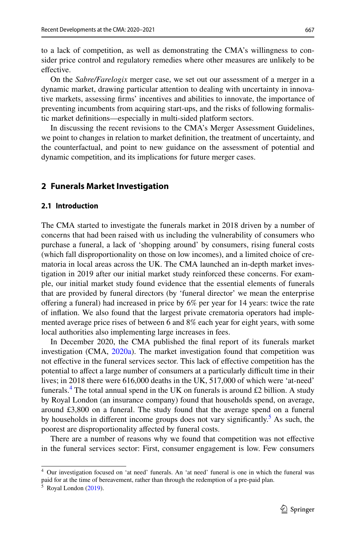to a lack of competition, as well as demonstrating the CMA's willingness to consider price control and regulatory remedies where other measures are unlikely to be effective.

On the *Sabre/Farelogix* merger case, we set out our assessment of a merger in a dynamic market, drawing particular attention to dealing with uncertainty in innovative markets, assessing frms' incentives and abilities to innovate, the importance of preventing incumbents from acquiring start-ups, and the risks of following formalistic market defnitions—especially in multi-sided platform sectors.

In discussing the recent revisions to the CMA's Merger Assessment Guidelines, we point to changes in relation to market defnition, the treatment of uncertainty, and the counterfactual, and point to new guidance on the assessment of potential and dynamic competition, and its implications for future merger cases.

### **2 Funerals Market Investigation**

#### **2.1 Introduction**

The CMA started to investigate the funerals market in 2018 driven by a number of concerns that had been raised with us including the vulnerability of consumers who purchase a funeral, a lack of 'shopping around' by consumers, rising funeral costs (which fall disproportionality on those on low incomes), and a limited choice of crematoria in local areas across the UK. The CMA launched an in-depth market investigation in 2019 after our initial market study reinforced these concerns. For example, our initial market study found evidence that the essential elements of funerals that are provided by funeral directors (by 'funeral director' we mean the enterprise ofering a funeral) had increased in price by 6% per year for 14 years: twice the rate of infation. We also found that the largest private crematoria operators had implemented average price rises of between 6 and 8% each year for eight years, with some local authorities also implementing large increases in fees.

In December 2020, the CMA published the fnal report of its funerals market investigation (CMA, [2020a](#page-26-4)). The market investigation found that competition was not efective in the funeral services sector. This lack of efective competition has the potential to afect a large number of consumers at a particularly difcult time in their lives; in 2018 there were 616,000 deaths in the UK, 517,000 of which were 'at-need' funerals.<sup>[4](#page-2-0)</sup> The total annual spend in the UK on funerals is around £2 billion. A study by Royal London (an insurance company) found that households spend, on average, around £3,800 on a funeral. The study found that the average spend on a funeral by households in different income groups does not vary significantly.<sup>[5](#page-2-1)</sup> As such, the poorest are disproportionality afected by funeral costs.

There are a number of reasons why we found that competition was not efective in the funeral services sector: First, consumer engagement is low. Few consumers

<span id="page-2-0"></span><sup>4</sup> Our investigation focused on 'at need' funerals. An 'at need' funeral is one in which the funeral was paid for at the time of bereavement, rather than through the redemption of a pre-paid plan.

<span id="page-2-1"></span> $5$  Royal London ([2019\)](#page-26-5).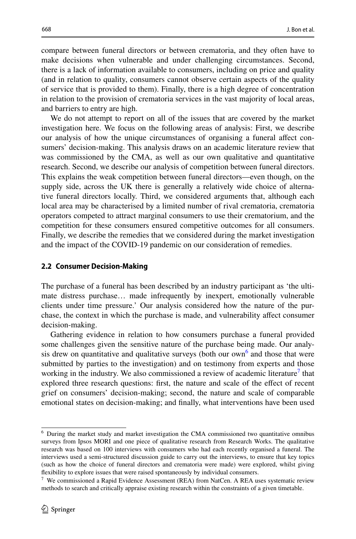compare between funeral directors or between crematoria, and they often have to make decisions when vulnerable and under challenging circumstances. Second, there is a lack of information available to consumers, including on price and quality (and in relation to quality, consumers cannot observe certain aspects of the quality of service that is provided to them). Finally, there is a high degree of concentration in relation to the provision of crematoria services in the vast majority of local areas, and barriers to entry are high.

We do not attempt to report on all of the issues that are covered by the market investigation here. We focus on the following areas of analysis: First, we describe our analysis of how the unique circumstances of organising a funeral afect consumers' decision-making. This analysis draws on an academic literature review that was commissioned by the CMA, as well as our own qualitative and quantitative research. Second, we describe our analysis of competition between funeral directors. This explains the weak competition between funeral directors—even though, on the supply side, across the UK there is generally a relatively wide choice of alternative funeral directors locally. Third, we considered arguments that, although each local area may be characterised by a limited number of rival crematoria, crematoria operators competed to attract marginal consumers to use their crematorium, and the competition for these consumers ensured competitive outcomes for all consumers. Finally, we describe the remedies that we considered during the market investigation and the impact of the COVID-19 pandemic on our consideration of remedies.

### **2.2 Consumer Decision‑Making**

The purchase of a funeral has been described by an industry participant as 'the ultimate distress purchase… made infrequently by inexpert, emotionally vulnerable clients under time pressure.' Our analysis considered how the nature of the purchase, the context in which the purchase is made, and vulnerability afect consumer decision-making.

Gathering evidence in relation to how consumers purchase a funeral provided some challenges given the sensitive nature of the purchase being made. Our analysis drew on quantitative and qualitative surveys (both our own<sup>6</sup> and those that were submitted by parties to the investigation) and on testimony from experts and those working in the industry. We also commissioned a review of academic literature<sup>[7](#page-3-1)</sup> that explored three research questions: frst, the nature and scale of the efect of recent grief on consumers' decision-making; second, the nature and scale of comparable emotional states on decision-making; and fnally, what interventions have been used

<span id="page-3-0"></span><sup>6</sup> During the market study and market investigation the CMA commissioned two quantitative omnibus surveys from Ipsos MORI and one piece of qualitative research from Research Works. The qualitative research was based on 100 interviews with consumers who had each recently organised a funeral. The interviews used a semi-structured discussion guide to carry out the interviews, to ensure that key topics (such as how the choice of funeral directors and crematoria were made) were explored, whilst giving fexibility to explore issues that were raised spontaneously by individual consumers.

<span id="page-3-1"></span> $7$  We commissioned a Rapid Evidence Assessment (REA) from NatCen. A REA uses systematic review methods to search and critically appraise existing research within the constraints of a given timetable.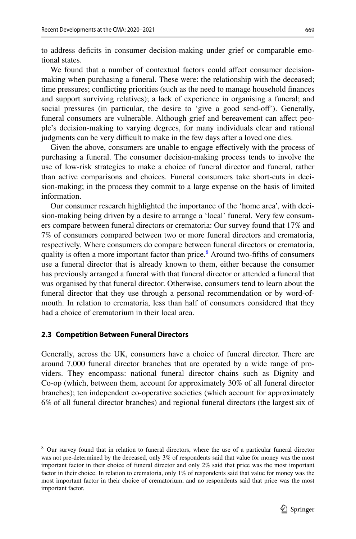to address defcits in consumer decision-making under grief or comparable emotional states.

We found that a number of contextual factors could affect consumer decisionmaking when purchasing a funeral. These were: the relationship with the deceased; time pressures; conficting priorities (such as the need to manage household fnances and support surviving relatives); a lack of experience in organising a funeral; and social pressures (in particular, the desire to 'give a good send-of'). Generally, funeral consumers are vulnerable. Although grief and bereavement can afect people's decision-making to varying degrees, for many individuals clear and rational judgments can be very difficult to make in the few days after a loved one dies.

Given the above, consumers are unable to engage efectively with the process of purchasing a funeral. The consumer decision-making process tends to involve the use of low-risk strategies to make a choice of funeral director and funeral, rather than active comparisons and choices. Funeral consumers take short-cuts in decision-making; in the process they commit to a large expense on the basis of limited information.

Our consumer research highlighted the importance of the 'home area', with decision-making being driven by a desire to arrange a 'local' funeral. Very few consumers compare between funeral directors or crematoria: Our survey found that 17% and 7% of consumers compared between two or more funeral directors and crematoria, respectively. Where consumers do compare between funeral directors or crematoria, quality is often a more important factor than price.<sup>8</sup> Around two-fifths of consumers use a funeral director that is already known to them, either because the consumer has previously arranged a funeral with that funeral director or attended a funeral that was organised by that funeral director. Otherwise, consumers tend to learn about the funeral director that they use through a personal recommendation or by word-ofmouth. In relation to crematoria, less than half of consumers considered that they had a choice of crematorium in their local area.

#### **2.3 Competition Between Funeral Directors**

Generally, across the UK, consumers have a choice of funeral director. There are around 7,000 funeral director branches that are operated by a wide range of providers. They encompass: national funeral director chains such as Dignity and Co-op (which, between them, account for approximately 30% of all funeral director branches); ten independent co-operative societies (which account for approximately 6% of all funeral director branches) and regional funeral directors (the largest six of

<span id="page-4-0"></span><sup>&</sup>lt;sup>8</sup> Our survey found that in relation to funeral directors, where the use of a particular funeral director was not pre-determined by the deceased, only 3% of respondents said that value for money was the most important factor in their choice of funeral director and only 2% said that price was the most important factor in their choice. In relation to crematoria, only 1% of respondents said that value for money was the most important factor in their choice of crematorium, and no respondents said that price was the most important factor.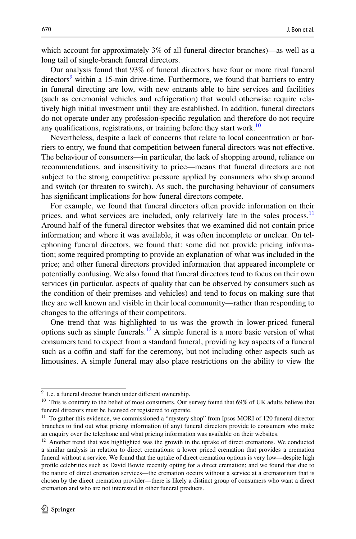which account for approximately 3% of all funeral director branches)—as well as a long tail of single-branch funeral directors.

Our analysis found that 93% of funeral directors have four or more rival funeral directors<sup>[9](#page-5-0)</sup> within a 15-min drive-time. Furthermore, we found that barriers to entry in funeral directing are low, with new entrants able to hire services and facilities (such as ceremonial vehicles and refrigeration) that would otherwise require relatively high initial investment until they are established. In addition, funeral directors do not operate under any profession-specifc regulation and therefore do not require any qualifications, registrations, or training before they start work.<sup>[10](#page-5-1)</sup>

Nevertheless, despite a lack of concerns that relate to local concentration or barriers to entry, we found that competition between funeral directors was not efective. The behaviour of consumers—in particular, the lack of shopping around, reliance on recommendations, and insensitivity to price—means that funeral directors are not subject to the strong competitive pressure applied by consumers who shop around and switch (or threaten to switch). As such, the purchasing behaviour of consumers has signifcant implications for how funeral directors compete.

For example, we found that funeral directors often provide information on their prices, and what services are included, only relatively late in the sales process.<sup>[11](#page-5-2)</sup> Around half of the funeral director websites that we examined did not contain price information; and where it was available, it was often incomplete or unclear. On telephoning funeral directors, we found that: some did not provide pricing information; some required prompting to provide an explanation of what was included in the price; and other funeral directors provided information that appeared incomplete or potentially confusing. We also found that funeral directors tend to focus on their own services (in particular, aspects of quality that can be observed by consumers such as the condition of their premises and vehicles) and tend to focus on making sure that they are well known and visible in their local community—rather than responding to changes to the oferings of their competitors.

One trend that was highlighted to us was the growth in lower-priced funeral options such as simple funerals.<sup>[12](#page-5-3)</sup> A simple funeral is a more basic version of what consumers tend to expect from a standard funeral, providing key aspects of a funeral such as a coffin and staff for the ceremony, but not including other aspects such as limousines. A simple funeral may also place restrictions on the ability to view the

<span id="page-5-0"></span><sup>&</sup>lt;sup>9</sup> I.e. a funeral director branch under different ownership.

<span id="page-5-1"></span><sup>&</sup>lt;sup>10</sup> This is contrary to the belief of most consumers. Our survey found that 69% of UK adults believe that funeral directors must be licensed or registered to operate.

<span id="page-5-2"></span><sup>&</sup>lt;sup>11</sup> To gather this evidence, we commissioned a "mystery shop" from Ipsos MORI of 120 funeral director branches to fnd out what pricing information (if any) funeral directors provide to consumers who make an enquiry over the telephone and what pricing information was available on their websites.

<span id="page-5-3"></span> $12$  Another trend that was highlighted was the growth in the uptake of direct cremations. We conducted a similar analysis in relation to direct cremations: a lower priced cremation that provides a cremation funeral without a service. We found that the uptake of direct cremation options is very low—despite high profle celebrities such as David Bowie recently opting for a direct cremation; and we found that due to the nature of direct cremation services—the cremation occurs without a service at a crematorium that is chosen by the direct cremation provider—there is likely a distinct group of consumers who want a direct cremation and who are not interested in other funeral products.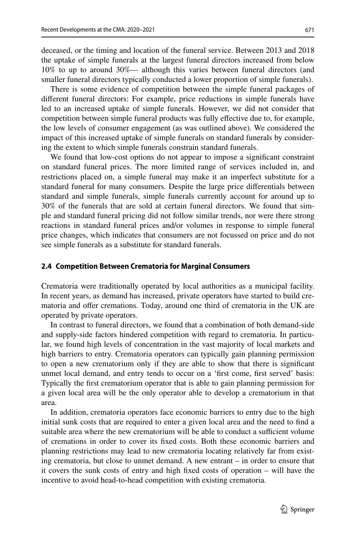deceased, or the timing and location of the funeral service. Between 2013 and 2018 the uptake of simple funerals at the largest funeral directors increased from below 10% to up to around 30%— although this varies between funeral directors (and smaller funeral directors typically conducted a lower proportion of simple funerals).

There is some evidence of competition between the simple funeral packages of diferent funeral directors: For example, price reductions in simple funerals have led to an increased uptake of simple funerals. However, we did not consider that competition between simple funeral products was fully efective due to, for example, the low levels of consumer engagement (as was outlined above). We considered the impact of this increased uptake of simple funerals on standard funerals by considering the extent to which simple funerals constrain standard funerals.

We found that low-cost options do not appear to impose a signifcant constraint on standard funeral prices. The more limited range of services included in, and restrictions placed on, a simple funeral may make it an imperfect substitute for a standard funeral for many consumers. Despite the large price diferentials between standard and simple funerals, simple funerals currently account for around up to 30% of the funerals that are sold at certain funeral directors. We found that simple and standard funeral pricing did not follow similar trends, nor were there strong reactions in standard funeral prices and/or volumes in response to simple funeral price changes, which indicates that consumers are not focussed on price and do not see simple funerals as a substitute for standard funerals.

#### **2.4 Competition Between Crematoria for Marginal Consumers**

Crematoria were traditionally operated by local authorities as a municipal facility. In recent years, as demand has increased, private operators have started to build crematoria and ofer cremations. Today, around one third of crematoria in the UK are operated by private operators.

In contrast to funeral directors, we found that a combination of both demand-side and supply-side factors hindered competition with regard to crematoria. In particular, we found high levels of concentration in the vast majority of local markets and high barriers to entry. Crematoria operators can typically gain planning permission to open a new crematorium only if they are able to show that there is signifcant unmet local demand, and entry tends to occur on a 'frst come, frst served' basis: Typically the frst crematorium operator that is able to gain planning permission for a given local area will be the only operator able to develop a crematorium in that area.

In addition, crematoria operators face economic barriers to entry due to the high initial sunk costs that are required to enter a given local area and the need to fnd a suitable area where the new crematorium will be able to conduct a sufficient volume of cremations in order to cover its fxed costs. Both these economic barriers and planning restrictions may lead to new crematoria locating relatively far from existing crematoria, but close to unmet demand. A new entrant – in order to ensure that it covers the sunk costs of entry and high fxed costs of operation – will have the incentive to avoid head-to-head competition with existing crematoria.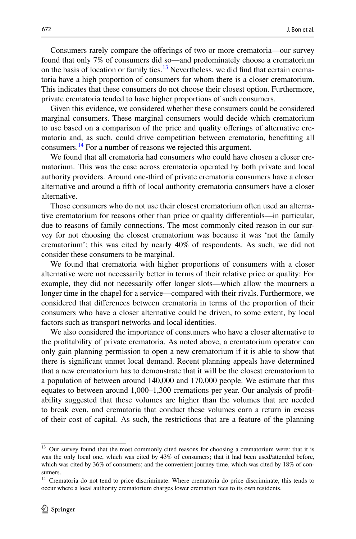Consumers rarely compare the oferings of two or more crematoria—our survey found that only 7% of consumers did so—and predominately choose a crematorium on the basis of location or family ties. $13$  Nevertheless, we did find that certain crematoria have a high proportion of consumers for whom there is a closer crematorium. This indicates that these consumers do not choose their closest option. Furthermore, private crematoria tended to have higher proportions of such consumers.

Given this evidence, we considered whether these consumers could be considered marginal consumers. These marginal consumers would decide which crematorium to use based on a comparison of the price and quality oferings of alternative crematoria and, as such, could drive competition between crematoria, beneftting all consumers[.14](#page-7-1) For a number of reasons we rejected this argument.

We found that all crematoria had consumers who could have chosen a closer crematorium. This was the case across crematoria operated by both private and local authority providers. Around one-third of private crematoria consumers have a closer alternative and around a ffth of local authority crematoria consumers have a closer alternative.

Those consumers who do not use their closest crematorium often used an alternative crematorium for reasons other than price or quality diferentials—in particular, due to reasons of family connections. The most commonly cited reason in our survey for not choosing the closest crematorium was because it was 'not the family crematorium'; this was cited by nearly 40% of respondents. As such, we did not consider these consumers to be marginal.

We found that crematoria with higher proportions of consumers with a closer alternative were not necessarily better in terms of their relative price or quality: For example, they did not necessarily offer longer slots—which allow the mourners a longer time in the chapel for a service—compared with their rivals. Furthermore, we considered that diferences between crematoria in terms of the proportion of their consumers who have a closer alternative could be driven, to some extent, by local factors such as transport networks and local identities.

We also considered the importance of consumers who have a closer alternative to the proftability of private crematoria. As noted above, a crematorium operator can only gain planning permission to open a new crematorium if it is able to show that there is signifcant unmet local demand. Recent planning appeals have determined that a new crematorium has to demonstrate that it will be the closest crematorium to a population of between around 140,000 and 170,000 people. We estimate that this equates to between around 1,000–1,300 cremations per year. Our analysis of proftability suggested that these volumes are higher than the volumes that are needed to break even, and crematoria that conduct these volumes earn a return in excess of their cost of capital. As such, the restrictions that are a feature of the planning

<span id="page-7-0"></span><sup>&</sup>lt;sup>13</sup> Our survey found that the most commonly cited reasons for choosing a crematorium were: that it is was the only local one, which was cited by 43% of consumers; that it had been used/attended before, which was cited by 36% of consumers; and the convenient journey time, which was cited by 18% of consumers.

<span id="page-7-1"></span><sup>&</sup>lt;sup>14</sup> Crematoria do not tend to price discriminate. Where crematoria do price discriminate, this tends to occur where a local authority crematorium charges lower cremation fees to its own residents.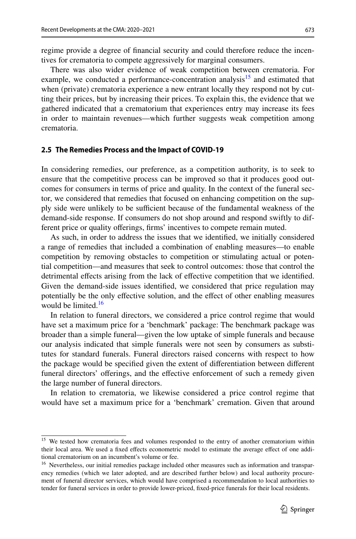regime provide a degree of fnancial security and could therefore reduce the incentives for crematoria to compete aggressively for marginal consumers.

There was also wider evidence of weak competition between crematoria. For example, we conducted a performance-concentration analysis<sup>15</sup> and estimated that when (private) crematoria experience a new entrant locally they respond not by cutting their prices, but by increasing their prices. To explain this, the evidence that we gathered indicated that a crematorium that experiences entry may increase its fees in order to maintain revenues—which further suggests weak competition among crematoria.

#### **2.5 The Remedies Process and the Impact of COVID‑19**

In considering remedies, our preference, as a competition authority, is to seek to ensure that the competitive process can be improved so that it produces good outcomes for consumers in terms of price and quality. In the context of the funeral sector, we considered that remedies that focused on enhancing competition on the supply side were unlikely to be sufficient because of the fundamental weakness of the demand-side response. If consumers do not shop around and respond swiftly to different price or quality offerings, firms' incentives to compete remain muted.

As such, in order to address the issues that we identifed, we initially considered a range of remedies that included a combination of enabling measures—to enable competition by removing obstacles to competition or stimulating actual or potential competition—and measures that seek to control outcomes: those that control the detrimental efects arising from the lack of efective competition that we identifed. Given the demand-side issues identifed, we considered that price regulation may potentially be the only efective solution, and the efect of other enabling measures would be limited.<sup>16</sup>

In relation to funeral directors, we considered a price control regime that would have set a maximum price for a 'benchmark' package: The benchmark package was broader than a simple funeral—given the low uptake of simple funerals and because our analysis indicated that simple funerals were not seen by consumers as substitutes for standard funerals. Funeral directors raised concerns with respect to how the package would be specifed given the extent of diferentiation between diferent funeral directors' offerings, and the effective enforcement of such a remedy given the large number of funeral directors.

In relation to crematoria, we likewise considered a price control regime that would have set a maximum price for a 'benchmark' cremation. Given that around

<span id="page-8-0"></span><sup>&</sup>lt;sup>15</sup> We tested how crematoria fees and volumes responded to the entry of another crematorium within their local area. We used a fixed effects econometric model to estimate the average effect of one additional crematorium on an incumbent's volume or fee.

<span id="page-8-1"></span><sup>&</sup>lt;sup>16</sup> Nevertheless, our initial remedies package included other measures such as information and transparency remedies (which we later adopted, and are described further below) and local authority procurement of funeral director services, which would have comprised a recommendation to local authorities to tender for funeral services in order to provide lower-priced, fxed-price funerals for their local residents.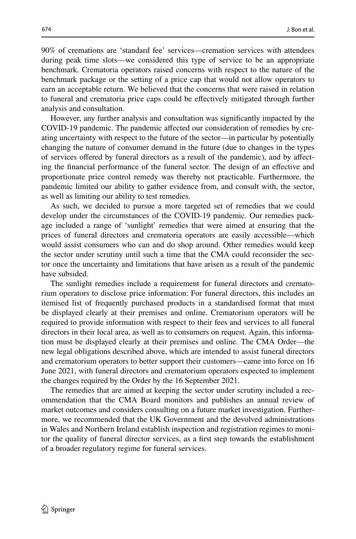90% of cremations are 'standard fee' services—cremation services with attendees during peak time slots—we considered this type of service to be an appropriate benchmark. Crematoria operators raised concerns with respect to the nature of the benchmark package or the setting of a price cap that would not allow operators to earn an acceptable return. We believed that the concerns that were raised in relation to funeral and crematoria price caps could be efectively mitigated through further analysis and consultation.

However, any further analysis and consultation was signifcantly impacted by the COVID-19 pandemic. The pandemic afected our consideration of remedies by creating uncertainty with respect to the future of the sector—in particular by potentially changing the nature of consumer demand in the future (due to changes in the types of services ofered by funeral directors as a result of the pandemic), and by afecting the fnancial performance of the funeral sector. The design of an efective and proportionate price control remedy was thereby not practicable. Furthermore, the pandemic limited our ability to gather evidence from, and consult with, the sector, as well as limiting our ability to test remedies.

As such, we decided to pursue a more targeted set of remedies that we could develop under the circumstances of the COVID-19 pandemic. Our remedies package included a range of 'sunlight' remedies that were aimed at ensuring that the prices of funeral directors and crematoria operators are easily accessible—which would assist consumers who can and do shop around. Other remedies would keep the sector under scrutiny until such a time that the CMA could reconsider the sector once the uncertainty and limitations that have arisen as a result of the pandemic have subsided.

The sunlight remedies include a requirement for funeral directors and crematorium operators to disclose price information: For funeral directors, this includes an itemised list of frequently purchased products in a standardised format that must be displayed clearly at their premises and online. Crematorium operators will be required to provide information with respect to their fees and services to all funeral directors in their local area, as well as to consumers on request. Again, this information must be displayed clearly at their premises and online. The CMA Order—the new legal obligations described above, which are intended to assist funeral directors and crematorium operators to better support their customers—came into force on 16 June 2021, with funeral directors and crematorium operators expected to implement the changes required by the Order by the 16 September 2021.

The remedies that are aimed at keeping the sector under scrutiny included a recommendation that the CMA Board monitors and publishes an annual review of market outcomes and considers consulting on a future market investigation. Furthermore, we recommended that the UK Government and the devolved administrations in Wales and Northern Ireland establish inspection and registration regimes to monitor the quality of funeral director services, as a frst step towards the establishment of a broader regulatory regime for funeral services.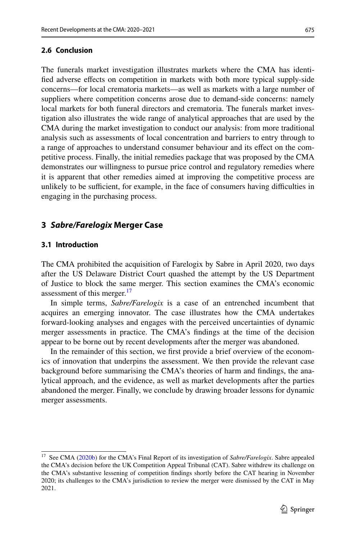### **2.6 Conclusion**

The funerals market investigation illustrates markets where the CMA has identifed adverse efects on competition in markets with both more typical supply-side concerns—for local crematoria markets—as well as markets with a large number of suppliers where competition concerns arose due to demand-side concerns: namely local markets for both funeral directors and crematoria. The funerals market investigation also illustrates the wide range of analytical approaches that are used by the CMA during the market investigation to conduct our analysis: from more traditional analysis such as assessments of local concentration and barriers to entry through to a range of approaches to understand consumer behaviour and its efect on the competitive process. Finally, the initial remedies package that was proposed by the CMA demonstrates our willingness to pursue price control and regulatory remedies where it is apparent that other remedies aimed at improving the competitive process are unlikely to be sufficient, for example, in the face of consumers having difficulties in engaging in the purchasing process.

### **3** *Sabre/Farelogix* **Merger Case**

### **3.1 Introduction**

The CMA prohibited the acquisition of Farelogix by Sabre in April 2020, two days after the US Delaware District Court quashed the attempt by the US Department of Justice to block the same merger. This section examines the CMA's economic assessment of this merger.<sup>[17](#page-10-0)</sup>

In simple terms, *Sabre/Farelogix* is a case of an entrenched incumbent that acquires an emerging innovator. The case illustrates how the CMA undertakes forward-looking analyses and engages with the perceived uncertainties of dynamic merger assessments in practice. The CMA's fndings at the time of the decision appear to be borne out by recent developments after the merger was abandoned.

In the remainder of this section, we frst provide a brief overview of the economics of innovation that underpins the assessment. We then provide the relevant case background before summarising the CMA's theories of harm and fndings, the analytical approach, and the evidence, as well as market developments after the parties abandoned the merger. Finally, we conclude by drawing broader lessons for dynamic merger assessments.

<span id="page-10-0"></span><sup>17</sup> See CMA [\(2020b](#page-26-6)) for the CMA's Final Report of its investigation of *Sabre/Farelogix*. Sabre appealed the CMA's decision before the UK Competition Appeal Tribunal (CAT). Sabre withdrew its challenge on the CMA's substantive lessening of competition fndings shortly before the CAT hearing in November 2020; its challenges to the CMA's jurisdiction to review the merger were dismissed by the CAT in May 2021.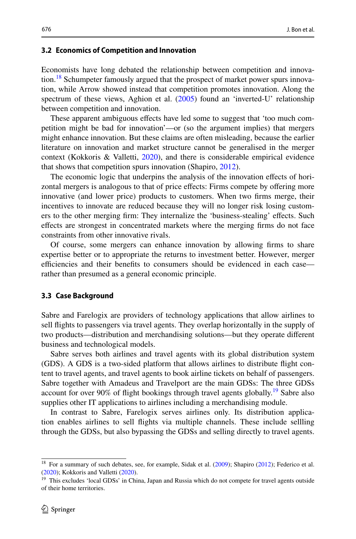#### **3.2 Economics of Competition and Innovation**

Economists have long debated the relationship between competition and innova-tion.<sup>[18](#page-11-0)</sup> Schumpeter famously argued that the prospect of market power spurs innovation, while Arrow showed instead that competition promotes innovation. Along the spectrum of these views, Aghion et al. ([2005\)](#page-26-7) found an 'inverted-U' relationship between competition and innovation.

These apparent ambiguous efects have led some to suggest that 'too much competition might be bad for innovation'—or (so the argument implies) that mergers might enhance innovation. But these claims are often misleading, because the earlier literature on innovation and market structure cannot be generalised in the merger context (Kokkoris & Valletti, [2020](#page-26-8)), and there is considerable empirical evidence that shows that competition spurs innovation (Shapiro, [2012](#page-26-9)).

The economic logic that underpins the analysis of the innovation efects of horizontal mergers is analogous to that of price efects: Firms compete by ofering more innovative (and lower price) products to customers. When two frms merge, their incentives to innovate are reduced because they will no longer risk losing customers to the other merging frm: They internalize the 'business-stealing' efects. Such efects are strongest in concentrated markets where the merging frms do not face constraints from other innovative rivals.

Of course, some mergers can enhance innovation by allowing frms to share expertise better or to appropriate the returns to investment better. However, merger efficiencies and their benefits to consumers should be evidenced in each case rather than presumed as a general economic principle.

#### **3.3 Case Background**

Sabre and Farelogix are providers of technology applications that allow airlines to sell fights to passengers via travel agents. They overlap horizontally in the supply of two products—distribution and merchandising solutions—but they operate diferent business and technological models.

Sabre serves both airlines and travel agents with its global distribution system (GDS). A GDS is a two-sided platform that allows airlines to distribute fight content to travel agents, and travel agents to book airline tickets on behalf of passengers. Sabre together with Amadeus and Travelport are the main GDSs: The three GDSs account for over 90% of flight bookings through travel agents globally.<sup>19</sup> Sabre also supplies other IT applications to airlines including a merchandising module.

In contrast to Sabre, Farelogix serves airlines only. Its distribution application enables airlines to sell fights via multiple channels. These include sellling through the GDSs, but also bypassing the GDSs and selling directly to travel agents.

<span id="page-11-0"></span><sup>&</sup>lt;sup>18</sup> For a summary of such debates, see, for example, Sidak et al. ([2009\)](#page-27-1); Shapiro ([2012\)](#page-26-9); Federico et al. ([2020\)](#page-26-10); Kokkoris and Valletti ([2020\)](#page-26-8).

<span id="page-11-1"></span><sup>&</sup>lt;sup>19</sup> This excludes 'local GDSs' in China, Japan and Russia which do not compete for travel agents outside of their home territories.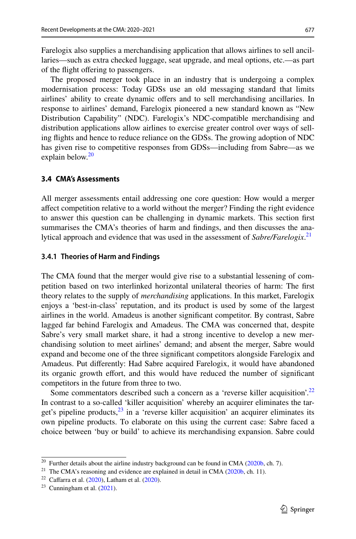Farelogix also supplies a merchandising application that allows airlines to sell ancillaries—such as extra checked luggage, seat upgrade, and meal options, etc.—as part of the fight ofering to passengers.

The proposed merger took place in an industry that is undergoing a complex modernisation process: Today GDSs use an old messaging standard that limits airlines' ability to create dynamic offers and to sell merchandising ancillaries. In response to airlines' demand, Farelogix pioneered a new standard known as "New Distribution Capability" (NDC). Farelogix's NDC-compatible merchandising and distribution applications allow airlines to exercise greater control over ways of selling fights and hence to reduce reliance on the GDSs. The growing adoption of NDC has given rise to competitive responses from GDSs—including from Sabre—as we explain below.<sup>[20](#page-12-0)</sup>

#### **3.4 CMA's Assessments**

All merger assessments entail addressing one core question: How would a merger afect competition relative to a world without the merger? Finding the right evidence to answer this question can be challenging in dynamic markets. This section frst summarises the CMA's theories of harm and fndings, and then discusses the analytical approach and evidence that was used in the assessment of *Sabre/Farelogix*. [21](#page-12-1)

#### **3.4.1 Theories of Harm and Findings**

The CMA found that the merger would give rise to a substantial lessening of competition based on two interlinked horizontal unilateral theories of harm: The frst theory relates to the supply of *merchandising* applications. In this market, Farelogix enjoys a 'best-in-class' reputation, and its product is used by some of the largest airlines in the world. Amadeus is another signifcant competitor. By contrast, Sabre lagged far behind Farelogix and Amadeus. The CMA was concerned that, despite Sabre's very small market share, it had a strong incentive to develop a new merchandising solution to meet airlines' demand; and absent the merger, Sabre would expand and become one of the three signifcant competitors alongside Farelogix and Amadeus. Put diferently: Had Sabre acquired Farelogix, it would have abandoned its organic growth efort, and this would have reduced the number of signifcant competitors in the future from three to two.

Some commentators described such a concern as a 'reverse killer acquisition'.<sup>22</sup> In contrast to a so-called 'killer acquisition' whereby an acquirer eliminates the target's pipeline products, $^{23}$  in a 'reverse killer acquisition' an acquirer eliminates its own pipeline products. To elaborate on this using the current case: Sabre faced a choice between 'buy or build' to achieve its merchandising expansion. Sabre could

<span id="page-12-0"></span> $20$  Further details about the airline industry background can be found in CMA ( $2020b$ , ch. 7).

<span id="page-12-1"></span><sup>&</sup>lt;sup>21</sup> The CMA's reasoning and evidence are explained in detail in CMA ( $2020b$ , ch. 11).

<span id="page-12-2"></span><sup>&</sup>lt;sup>22</sup> Caffarra et al.  $(2020)$  $(2020)$ , Latham et al.  $(2020)$ .

<span id="page-12-3"></span> $23$  Cunningham et al.  $(2021)$  $(2021)$ .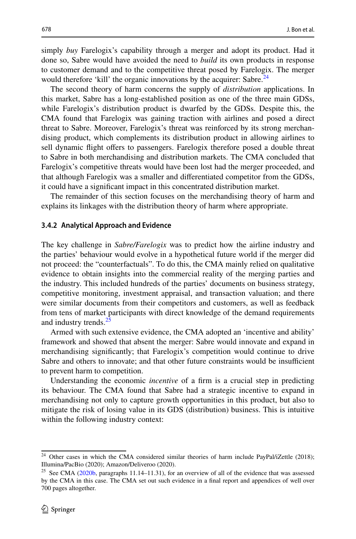simply *buy* Farelogix's capability through a merger and adopt its product. Had it done so, Sabre would have avoided the need to *build* its own products in response to customer demand and to the competitive threat posed by Farelogix. The merger would therefore 'kill' the organic innovations by the acquirer: Sabre.<sup>24</sup>

The second theory of harm concerns the supply of *distribution* applications. In this market, Sabre has a long-established position as one of the three main GDSs, while Farelogix's distribution product is dwarfed by the GDSs. Despite this, the CMA found that Farelogix was gaining traction with airlines and posed a direct threat to Sabre. Moreover, Farelogix's threat was reinforced by its strong merchandising product, which complements its distribution product in allowing airlines to sell dynamic fight ofers to passengers. Farelogix therefore posed a double threat to Sabre in both merchandising and distribution markets. The CMA concluded that Farelogix's competitive threats would have been lost had the merger proceeded, and that although Farelogix was a smaller and diferentiated competitor from the GDSs, it could have a signifcant impact in this concentrated distribution market.

The remainder of this section focuses on the merchandising theory of harm and explains its linkages with the distribution theory of harm where appropriate.

#### **3.4.2 Analytical Approach and Evidence**

The key challenge in *Sabre/Farelogix* was to predict how the airline industry and the parties' behaviour would evolve in a hypothetical future world if the merger did not proceed: the "counterfactuals". To do this, the CMA mainly relied on qualitative evidence to obtain insights into the commercial reality of the merging parties and the industry. This included hundreds of the parties' documents on business strategy, competitive monitoring, investment appraisal, and transaction valuation; and there were similar documents from their competitors and customers, as well as feedback from tens of market participants with direct knowledge of the demand requirements and industry trends.<sup>[25](#page-13-1)</sup>

Armed with such extensive evidence, the CMA adopted an 'incentive and ability' framework and showed that absent the merger: Sabre would innovate and expand in merchandising signifcantly; that Farelogix's competition would continue to drive Sabre and others to innovate; and that other future constraints would be insufficient to prevent harm to competition.

Understanding the economic *incentive* of a frm is a crucial step in predicting its behaviour. The CMA found that Sabre had a strategic incentive to expand in merchandising not only to capture growth opportunities in this product, but also to mitigate the risk of losing value in its GDS (distribution) business. This is intuitive within the following industry context:

<span id="page-13-0"></span><sup>&</sup>lt;sup>24</sup> Other cases in which the CMA considered similar theories of harm include PayPal/iZettle (2018); Illumina/PacBio (2020); Amazon/Deliveroo (2020).

<span id="page-13-1"></span><sup>&</sup>lt;sup>25</sup> See CMA ( $2020b$ , paragraphs 11.14–11.31), for an overview of all of the evidence that was assessed by the CMA in this case. The CMA set out such evidence in a fnal report and appendices of well over 700 pages altogether.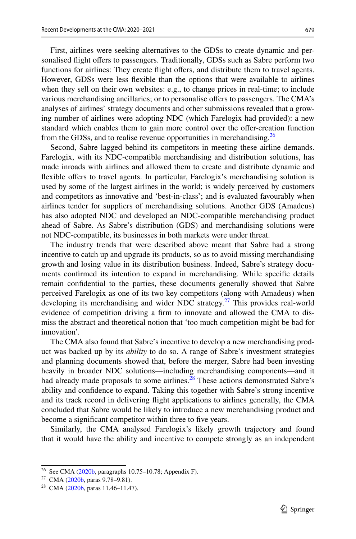First, airlines were seeking alternatives to the GDSs to create dynamic and personalised fight ofers to passengers. Traditionally, GDSs such as Sabre perform two functions for airlines: They create flight offers, and distribute them to travel agents. However, GDSs were less fexible than the options that were available to airlines when they sell on their own websites: e.g., to change prices in real-time; to include various merchandising ancillaries; or to personalise ofers to passengers. The CMA's analyses of airlines' strategy documents and other submissions revealed that a growing number of airlines were adopting NDC (which Farelogix had provided): a new standard which enables them to gain more control over the ofer-creation function from the GDSs, and to realise revenue opportunities in merchandising.<sup>[26](#page-14-0)</sup>

Second, Sabre lagged behind its competitors in meeting these airline demands. Farelogix, with its NDC-compatible merchandising and distribution solutions, has made inroads with airlines and allowed them to create and distribute dynamic and flexible offers to travel agents. In particular, Farelogix's merchandising solution is used by some of the largest airlines in the world; is widely perceived by customers and competitors as innovative and 'best-in-class'; and is evaluated favourably when airlines tender for suppliers of merchandising solutions. Another GDS (Amadeus) has also adopted NDC and developed an NDC-compatible merchandising product ahead of Sabre. As Sabre's distribution (GDS) and merchandising solutions were not NDC-compatible, its businesses in both markets were under threat.

The industry trends that were described above meant that Sabre had a strong incentive to catch up and upgrade its products, so as to avoid missing merchandising growth and losing value in its distribution business. Indeed, Sabre's strategy documents confrmed its intention to expand in merchandising. While specifc details remain confdential to the parties, these documents generally showed that Sabre perceived Farelogix as one of its two key competitors (along with Amadeus) when developing its merchandising and wider NDC strategy. $27$  This provides real-world evidence of competition driving a frm to innovate and allowed the CMA to dismiss the abstract and theoretical notion that 'too much competition might be bad for innovation'.

The CMA also found that Sabre's incentive to develop a new merchandising product was backed up by its *ability* to do so. A range of Sabre's investment strategies and planning documents showed that, before the merger, Sabre had been investing heavily in broader NDC solutions—including merchandising components—and it had already made proposals to some airlines. $28$  These actions demonstrated Sabre's ability and confdence to expand. Taking this together with Sabre's strong incentive and its track record in delivering fight applications to airlines generally, the CMA concluded that Sabre would be likely to introduce a new merchandising product and become a significant competitor within three to five years.

Similarly, the CMA analysed Farelogix's likely growth trajectory and found that it would have the ability and incentive to compete strongly as an independent

<span id="page-14-0"></span><sup>26</sup> See CMA [\(2020b](#page-26-6), paragraphs 10.75–10.78; Appendix F).

<span id="page-14-1"></span><sup>27</sup> CMA ([2020b,](#page-26-6) paras 9.78–9.81).

<span id="page-14-2"></span><sup>&</sup>lt;sup>28</sup> CMA ([2020b,](#page-26-6) paras 11.46–11.47).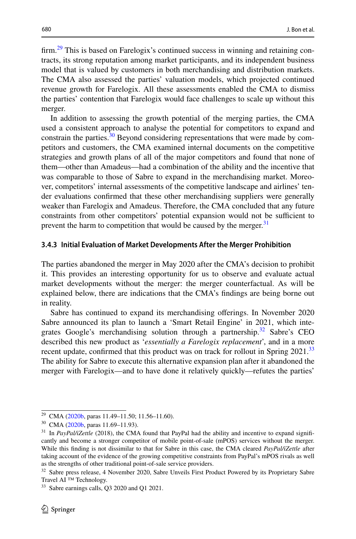firm.<sup>29</sup> This is based on Farelogix's continued success in winning and retaining contracts, its strong reputation among market participants, and its independent business model that is valued by customers in both merchandising and distribution markets. The CMA also assessed the parties' valuation models, which projected continued revenue growth for Farelogix. All these assessments enabled the CMA to dismiss the parties' contention that Farelogix would face challenges to scale up without this merger.

In addition to assessing the growth potential of the merging parties, the CMA used a consistent approach to analyse the potential for competitors to expand and constrain the parties. $30$  Beyond considering representations that were made by competitors and customers, the CMA examined internal documents on the competitive strategies and growth plans of all of the major competitors and found that none of them—other than Amadeus—had a combination of the ability and the incentive that was comparable to those of Sabre to expand in the merchandising market. Moreover, competitors' internal assessments of the competitive landscape and airlines' tender evaluations confrmed that these other merchandising suppliers were generally weaker than Farelogix and Amadeus. Therefore, the CMA concluded that any future constraints from other competitors' potential expansion would not be sufficient to prevent the harm to competition that would be caused by the merger.<sup>[31](#page-15-2)</sup>

#### **3.4.3 Initial Evaluation of Market Developments After the Merger Prohibition**

The parties abandoned the merger in May 2020 after the CMA's decision to prohibit it. This provides an interesting opportunity for us to observe and evaluate actual market developments without the merger: the merger counterfactual. As will be explained below, there are indications that the CMA's fndings are being borne out in reality.

Sabre has continued to expand its merchandising oferings. In November 2020 Sabre announced its plan to launch a 'Smart Retail Engine' in 2021, which inte-grates Google's merchandising solution through a partnership.<sup>[32](#page-15-3)</sup> Sabre's CEO described this new product as '*essentially a Farelogix replacement*', and in a more recent update, confirmed that this product was on track for rollout in Spring 2021.<sup>[33](#page-15-4)</sup> The ability for Sabre to execute this alternative expansion plan after it abandoned the merger with Farelogix—and to have done it relatively quickly—refutes the parties'

<span id="page-15-0"></span><sup>29</sup> CMA ([2020b,](#page-26-6) paras 11.49–11.50; 11.56–11.60).

<span id="page-15-1"></span><sup>30</sup> CMA ([2020b,](#page-26-6) paras 11.69–11.93).

<span id="page-15-2"></span><sup>&</sup>lt;sup>31</sup> In *PayPal/iZettle* (2018), the CMA found that PayPal had the ability and incentive to expand significantly and become a stronger competitor of mobile point-of-sale (mPOS) services without the merger. While this fnding is not dissimilar to that for Sabre in this case, the CMA cleared *PayPal/iZettle* after taking account of the evidence of the growing competitive constraints from PayPal's mPOS rivals as well as the strengths of other traditional point-of-sale service providers.

<span id="page-15-3"></span><sup>&</sup>lt;sup>32</sup> Sabre press release, 4 November 2020, Sabre Unveils First Product Powered by its Proprietary Sabre Travel AI ™ Technology.

<span id="page-15-4"></span><sup>&</sup>lt;sup>33</sup> Sabre earnings calls, Q3 2020 and Q1 2021.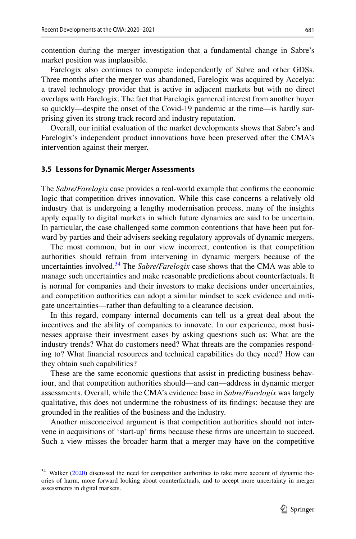contention during the merger investigation that a fundamental change in Sabre's market position was implausible.

Farelogix also continues to compete independently of Sabre and other GDSs. Three months after the merger was abandoned, Farelogix was acquired by Accelya: a travel technology provider that is active in adjacent markets but with no direct overlaps with Farelogix. The fact that Farelogix garnered interest from another buyer so quickly—despite the onset of the Covid-19 pandemic at the time—is hardly surprising given its strong track record and industry reputation.

Overall, our initial evaluation of the market developments shows that Sabre's and Farelogix's independent product innovations have been preserved after the CMA's intervention against their merger.

#### **3.5 Lessons for Dynamic Merger Assessments**

The *Sabre/Farelogix* case provides a real-world example that confrms the economic logic that competition drives innovation. While this case concerns a relatively old industry that is undergoing a lengthy modernisation process, many of the insights apply equally to digital markets in which future dynamics are said to be uncertain. In particular, the case challenged some common contentions that have been put forward by parties and their advisers seeking regulatory approvals of dynamic mergers.

The most common, but in our view incorrect, contention is that competition authorities should refrain from intervening in dynamic mergers because of the uncertainties involved.[34](#page-16-0) The *Sabre/Farelogix* case shows that the CMA was able to manage such uncertainties and make reasonable predictions about counterfactuals. It is normal for companies and their investors to make decisions under uncertainties, and competition authorities can adopt a similar mindset to seek evidence and mitigate uncertainties—rather than defaulting to a clearance decision.

In this regard, company internal documents can tell us a great deal about the incentives and the ability of companies to innovate. In our experience, most businesses appraise their investment cases by asking questions such as: What are the industry trends? What do customers need? What threats are the companies responding to? What fnancial resources and technical capabilities do they need? How can they obtain such capabilities?

These are the same economic questions that assist in predicting business behaviour, and that competition authorities should—and can—address in dynamic merger assessments. Overall, while the CMA's evidence base in *Sabre/Farelogix* was largely qualitative, this does not undermine the robustness of its fndings: because they are grounded in the realities of the business and the industry.

Another misconceived argument is that competition authorities should not intervene in acquisitions of 'start-up' frms because these frms are uncertain to succeed. Such a view misses the broader harm that a merger may have on the competitive

<span id="page-16-0"></span><sup>&</sup>lt;sup>34</sup> Walker [\(2020](#page-27-2)) discussed the need for competition authorities to take more account of dynamic theories of harm, more forward looking about counterfactuals, and to accept more uncertainty in merger assessments in digital markets.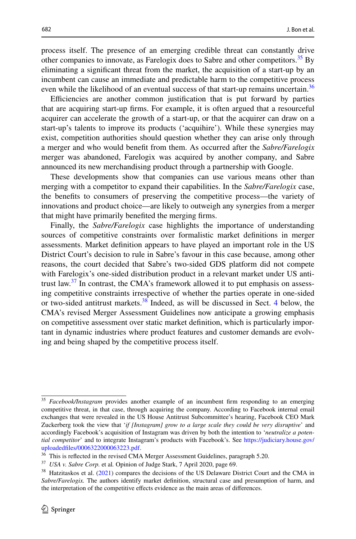process itself. The presence of an emerging credible threat can constantly drive other companies to innovate, as Farelogix does to Sabre and other competitors.<sup>35</sup> By eliminating a signifcant threat from the market, the acquisition of a start-up by an incumbent can cause an immediate and predictable harm to the competitive process even while the likelihood of an eventual success of that start-up remains uncertain.<sup>36</sup>

Efficiencies are another common justification that is put forward by parties that are acquiring start-up frms. For example, it is often argued that a resourceful acquirer can accelerate the growth of a start-up, or that the acquirer can draw on a start-up's talents to improve its products ('acquihire'). While these synergies may exist, competition authorities should question whether they can arise only through a merger and who would beneft from them. As occurred after the *Sabre/Farelogix* merger was abandoned, Farelogix was acquired by another company, and Sabre announced its new merchandising product through a partnership with Google.

These developments show that companies can use various means other than merging with a competitor to expand their capabilities. In the *Sabre/Farelogix* case, the benefts to consumers of preserving the competitive process—the variety of innovations and product choice—are likely to outweigh any synergies from a merger that might have primarily benefted the merging frms.

Finally, the *Sabre/Farelogix* case highlights the importance of understanding sources of competitive constraints over formalistic market defnitions in merger assessments. Market defnition appears to have played an important role in the US District Court's decision to rule in Sabre's favour in this case because, among other reasons, the court decided that Sabre's two-sided GDS platform did not compete with Farelogix's one-sided distribution product in a relevant market under US antitrust law. $37$  In contrast, the CMA's framework allowed it to put emphasis on assessing competitive constraints irrespective of whether the parties operate in one-sided or two-sided antitrust markets[.38](#page-17-3) Indeed, as will be discussed in Sect. [4](#page-18-0) below, the CMA's revised Merger Assessment Guidelines now anticipate a growing emphasis on competitive assessment over static market defnition, which is particularly important in dynamic industries where product features and customer demands are evolving and being shaped by the competitive process itself.

<span id="page-17-0"></span><sup>35</sup> *Facebook/Instagram* provides another example of an incumbent frm responding to an emerging competitive threat, in that case, through acquiring the company. According to Facebook internal email exchanges that were revealed in the US House Antitrust Subcommittee's hearing, Facebook CEO Mark Zuckerberg took the view that '*if [Instagram] grow to a large scale they could be very disruptive*' and accordingly Facebook's acquisition of Instagram was driven by both the intention to '*neutralize a potential competitor*' and to integrate Instagram's products with Facebook's. See [https://judiciary.house.gov/](https://judiciary.house.gov/uploadedfiles/0006322000063223.pdf) [uploadedfles/0006322000063223.pdf.](https://judiciary.house.gov/uploadedfiles/0006322000063223.pdf)

<span id="page-17-1"></span> $36$  This is reflected in the revised CMA Merger Assessment Guidelines, paragraph 5.20.

<span id="page-17-2"></span><sup>37</sup> *USA v. Sabre Corp.* et al*.* Opinion of Judge Stark, 7 April 2020, page 69.

<span id="page-17-3"></span><sup>&</sup>lt;sup>38</sup> Hatzitaskos et al. ([2021\)](#page-26-14) compares the decisions of the US Delaware District Court and the CMA in *Sabre/Farelogix.* The authors identify market defnition, structural case and presumption of harm, and the interpretation of the competitive efects evidence as the main areas of diferences.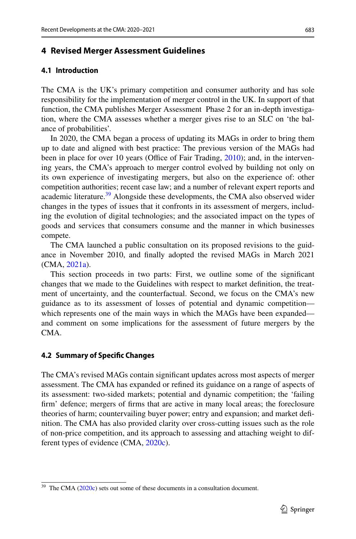### <span id="page-18-0"></span>**4 Revised Merger Assessment Guidelines**

### **4.1 Introduction**

The CMA is the UK's primary competition and consumer authority and has sole responsibility for the implementation of merger control in the UK. In support of that function, the CMA publishes Merger Assessment Phase 2 for an in-depth investigation, where the CMA assesses whether a merger gives rise to an SLC on 'the balance of probabilities'.

In 2020, the CMA began a process of updating its MAGs in order to bring them up to date and aligned with best practice: The previous version of the MAGs had been in place for over 10 years (Office of Fair Trading,  $2010$ ); and, in the intervening years, the CMA's approach to merger control evolved by building not only on its own experience of investigating mergers, but also on the experience of: other competition authorities; recent case law; and a number of relevant expert reports and academic literature.<sup>39</sup> Alongside these developments, the CMA also observed wider changes in the types of issues that it confronts in its assessment of mergers, including the evolution of digital technologies; and the associated impact on the types of goods and services that consumers consume and the manner in which businesses compete.

The CMA launched a public consultation on its proposed revisions to the guidance in November 2010, and fnally adopted the revised MAGs in March 2021 (CMA, [2021a\)](#page-26-16).

This section proceeds in two parts: First, we outline some of the signifcant changes that we made to the Guidelines with respect to market defnition, the treatment of uncertainty, and the counterfactual. Second, we focus on the CMA's new guidance as to its assessment of losses of potential and dynamic competition which represents one of the main ways in which the MAGs have been expanded and comment on some implications for the assessment of future mergers by the CMA.

### **4.2 Summary of Specifc Changes**

The CMA's revised MAGs contain signifcant updates across most aspects of merger assessment. The CMA has expanded or refned its guidance on a range of aspects of its assessment: two-sided markets; potential and dynamic competition; the 'failing frm' defence; mergers of frms that are active in many local areas; the foreclosure theories of harm; countervailing buyer power; entry and expansion; and market defnition. The CMA has also provided clarity over cross-cutting issues such as the role of non-price competition, and its approach to assessing and attaching weight to different types of evidence (CMA, [2020c](#page-26-17)).

<span id="page-18-1"></span> $39$  The CMA ([2020c\)](#page-26-17) sets out some of these documents in a consultation document.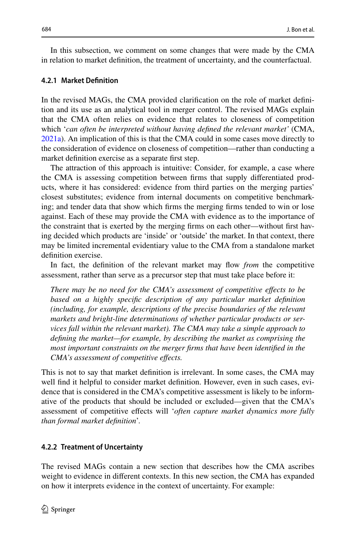In this subsection, we comment on some changes that were made by the CMA in relation to market defnition, the treatment of uncertainty, and the counterfactual.

### **4.2.1 Market Defnition**

In the revised MAGs, the CMA provided clarifcation on the role of market defnition and its use as an analytical tool in merger control. The revised MAGs explain that the CMA often relies on evidence that relates to closeness of competition which '*can often be interpreted without having defned the relevant market'* (CMA, [2021a](#page-26-16)). An implication of this is that the CMA could in some cases move directly to the consideration of evidence on closeness of competition—rather than conducting a market defnition exercise as a separate frst step.

The attraction of this approach is intuitive: Consider, for example, a case where the CMA is assessing competition between frms that supply diferentiated products, where it has considered: evidence from third parties on the merging parties' closest substitutes; evidence from internal documents on competitive benchmarking; and tender data that show which frms the merging frms tended to win or lose against. Each of these may provide the CMA with evidence as to the importance of the constraint that is exerted by the merging frms on each other—without frst having decided which products are 'inside' or 'outside' the market. In that context, there may be limited incremental evidentiary value to the CMA from a standalone market definition exercise.

In fact, the defnition of the relevant market may fow *from* the competitive assessment, rather than serve as a precursor step that must take place before it:

*There may be no need for the CMA's assessment of competitive efects to be based on a highly specifc description of any particular market defnition (including, for example, descriptions of the precise boundaries of the relevant markets and bright-line determinations of whether particular products or services fall within the relevant market). The CMA may take a simple approach to defning the market—for example, by describing the market as comprising the most important constraints on the merger frms that have been identifed in the CMA's assessment of competitive efects.*

This is not to say that market defnition is irrelevant. In some cases, the CMA may well fnd it helpful to consider market defnition. However, even in such cases, evidence that is considered in the CMA's competitive assessment is likely to be informative of the products that should be included or excluded—given that the CMA's assessment of competitive efects will '*often capture market dynamics more fully than formal market defnition*'.

### **4.2.2 Treatment of Uncertainty**

The revised MAGs contain a new section that describes how the CMA ascribes weight to evidence in diferent contexts. In this new section, the CMA has expanded on how it interprets evidence in the context of uncertainty. For example: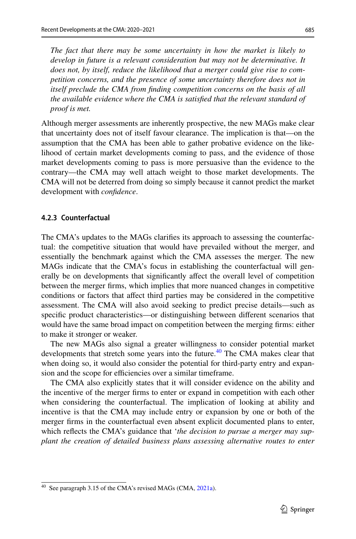*The fact that there may be some uncertainty in how the market is likely to develop in future is a relevant consideration but may not be determinative. It does not, by itself, reduce the likelihood that a merger could give rise to competition concerns, and the presence of some uncertainty therefore does not in itself preclude the CMA from fnding competition concerns on the basis of all the available evidence where the CMA is satisfed that the relevant standard of proof is met.*

Although merger assessments are inherently prospective, the new MAGs make clear that uncertainty does not of itself favour clearance. The implication is that—on the assumption that the CMA has been able to gather probative evidence on the likelihood of certain market developments coming to pass, and the evidence of those market developments coming to pass is more persuasive than the evidence to the contrary—the CMA may well attach weight to those market developments. The CMA will not be deterred from doing so simply because it cannot predict the market development with *confdence*.

#### **4.2.3 Counterfactual**

The CMA's updates to the MAGs clarifes its approach to assessing the counterfactual: the competitive situation that would have prevailed without the merger, and essentially the benchmark against which the CMA assesses the merger. The new MAGs indicate that the CMA's focus in establishing the counterfactual will generally be on developments that signifcantly afect the overall level of competition between the merger frms, which implies that more nuanced changes in competitive conditions or factors that afect third parties may be considered in the competitive assessment. The CMA will also avoid seeking to predict precise details—such as specifc product characteristics—or distinguishing between diferent scenarios that would have the same broad impact on competition between the merging frms: either to make it stronger or weaker.

The new MAGs also signal a greater willingness to consider potential market developments that stretch some years into the future.<sup>40</sup> The CMA makes clear that when doing so, it would also consider the potential for third-party entry and expansion and the scope for efficiencies over a similar timeframe.

The CMA also explicitly states that it will consider evidence on the ability and the incentive of the merger frms to enter or expand in competition with each other when considering the counterfactual. The implication of looking at ability and incentive is that the CMA may include entry or expansion by one or both of the merger frms in the counterfactual even absent explicit documented plans to enter, which refects the CMA's guidance that '*the decision to pursue a merger may supplant the creation of detailed business plans assessing alternative routes to enter* 

<span id="page-20-0"></span><sup>&</sup>lt;sup>40</sup> See paragraph 3.15 of the CMA's revised MAGs (CMA, [2021a\)](#page-26-16).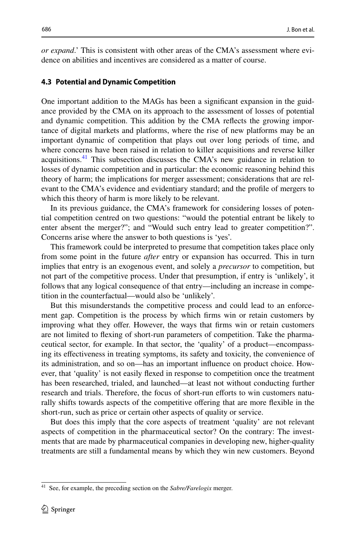*or expand*.' This is consistent with other areas of the CMA's assessment where evidence on abilities and incentives are considered as a matter of course.

#### **4.3 Potential and Dynamic Competition**

One important addition to the MAGs has been a signifcant expansion in the guidance provided by the CMA on its approach to the assessment of losses of potential and dynamic competition. This addition by the CMA refects the growing importance of digital markets and platforms, where the rise of new platforms may be an important dynamic of competition that plays out over long periods of time, and where concerns have been raised in relation to killer acquisitions and reverse killer acquisitions.<sup>41</sup> This subsection discusses the CMA's new guidance in relation to losses of dynamic competition and in particular: the economic reasoning behind this theory of harm; the implications for merger assessment; considerations that are relevant to the CMA's evidence and evidentiary standard; and the profle of mergers to which this theory of harm is more likely to be relevant.

In its previous guidance, the CMA's framework for considering losses of potential competition centred on two questions: "would the potential entrant be likely to enter absent the merger?"; and "Would such entry lead to greater competition?". Concerns arise where the answer to both questions is 'yes'.

This framework could be interpreted to presume that competition takes place only from some point in the future *after* entry or expansion has occurred. This in turn implies that entry is an exogenous event, and solely a *precursor* to competition, but not part of the competitive process. Under that presumption, if entry is 'unlikely', it follows that any logical consequence of that entry—including an increase in competition in the counterfactual—would also be 'unlikely'.

But this misunderstands the competitive process and could lead to an enforcement gap. Competition is the process by which frms win or retain customers by improving what they ofer. However, the ways that frms win or retain customers are not limited to fexing of short-run parameters of competition. Take the pharmaceutical sector, for example. In that sector, the 'quality' of a product—encompassing its efectiveness in treating symptoms, its safety and toxicity, the convenience of its administration, and so on—has an important infuence on product choice. However, that 'quality' is not easily fexed in response to competition once the treatment has been researched, trialed, and launched—at least not without conducting further research and trials. Therefore, the focus of short-run efforts to win customers naturally shifts towards aspects of the competitive ofering that are more fexible in the short-run, such as price or certain other aspects of quality or service.

But does this imply that the core aspects of treatment 'quality' are not relevant aspects of competition in the pharmaceutical sector? On the contrary: The investments that are made by pharmaceutical companies in developing new, higher-quality treatments are still a fundamental means by which they win new customers. Beyond

<span id="page-21-0"></span><sup>41</sup> See, for example, the preceding section on the *Sabre/Farelogix* merger.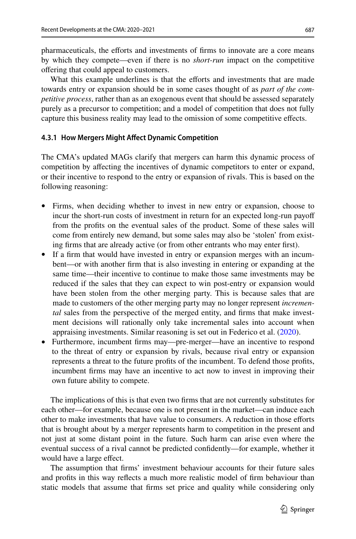pharmaceuticals, the eforts and investments of frms to innovate are a core means by which they compete—even if there is no *short-run* impact on the competitive ofering that could appeal to customers.

What this example underlines is that the efforts and investments that are made towards entry or expansion should be in some cases thought of as *part of the competitive process*, rather than as an exogenous event that should be assessed separately purely as a precursor to competition; and a model of competition that does not fully capture this business reality may lead to the omission of some competitive efects.

### **4.3.1 How Mergers Might Afect Dynamic Competition**

The CMA's updated MAGs clarify that mergers can harm this dynamic process of competition by afecting the incentives of dynamic competitors to enter or expand, or their incentive to respond to the entry or expansion of rivals. This is based on the following reasoning:

- Firms, when deciding whether to invest in new entry or expansion, choose to incur the short-run costs of investment in return for an expected long-run payoff from the profts on the eventual sales of the product. Some of these sales will come from entirely new demand, but some sales may also be 'stolen' from existing frms that are already active (or from other entrants who may enter frst).
- If a frm that would have invested in entry or expansion merges with an incumbent—or with another frm that is also investing in entering or expanding at the same time—their incentive to continue to make those same investments may be reduced if the sales that they can expect to win post-entry or expansion would have been stolen from the other merging party. This is because sales that are made to customers of the other merging party may no longer represent *incremental* sales from the perspective of the merged entity, and frms that make investment decisions will rationally only take incremental sales into account when appraising investments. Similar reasoning is set out in Federico et al. ([2020\)](#page-26-10).
- Furthermore, incumbent frms may—pre-merger—have an incentive to respond to the threat of entry or expansion by rivals, because rival entry or expansion represents a threat to the future profts of the incumbent. To defend those profts, incumbent frms may have an incentive to act now to invest in improving their own future ability to compete.

The implications of this is that even two frms that are not currently substitutes for each other—for example, because one is not present in the market—can induce each other to make investments that have value to consumers. A reduction in those efforts that is brought about by a merger represents harm to competition in the present and not just at some distant point in the future. Such harm can arise even where the eventual success of a rival cannot be predicted confdently—for example, whether it would have a large effect.

The assumption that frms' investment behaviour accounts for their future sales and profts in this way refects a much more realistic model of frm behaviour than static models that assume that frms set price and quality while considering only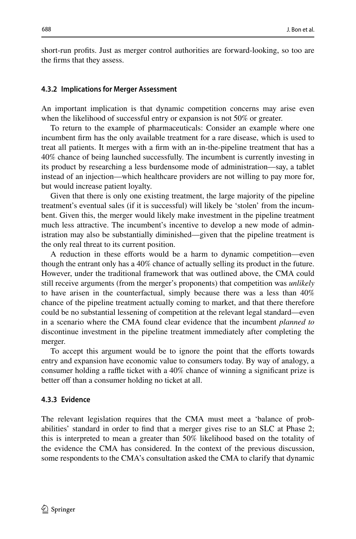short-run profts. Just as merger control authorities are forward-looking, so too are the frms that they assess.

#### **4.3.2 Implications for Merger Assessment**

An important implication is that dynamic competition concerns may arise even when the likelihood of successful entry or expansion is not 50% or greater.

To return to the example of pharmaceuticals: Consider an example where one incumbent frm has the only available treatment for a rare disease, which is used to treat all patients. It merges with a frm with an in-the-pipeline treatment that has a 40% chance of being launched successfully. The incumbent is currently investing in its product by researching a less burdensome mode of administration—say, a tablet instead of an injection—which healthcare providers are not willing to pay more for, but would increase patient loyalty.

Given that there is only one existing treatment, the large majority of the pipeline treatment's eventual sales (if it is successful) will likely be 'stolen' from the incumbent. Given this, the merger would likely make investment in the pipeline treatment much less attractive. The incumbent's incentive to develop a new mode of administration may also be substantially diminished—given that the pipeline treatment is the only real threat to its current position.

A reduction in these eforts would be a harm to dynamic competition—even though the entrant only has a 40% chance of actually selling its product in the future. However, under the traditional framework that was outlined above, the CMA could still receive arguments (from the merger's proponents) that competition was *unlikely* to have arisen in the counterfactual, simply because there was a less than 40% chance of the pipeline treatment actually coming to market, and that there therefore could be no substantial lessening of competition at the relevant legal standard—even in a scenario where the CMA found clear evidence that the incumbent *planned to* discontinue investment in the pipeline treatment immediately after completing the merger.

To accept this argument would be to ignore the point that the efforts towards entry and expansion have economic value to consumers today. By way of analogy, a consumer holding a raffle ticket with a  $40\%$  chance of winning a significant prize is better off than a consumer holding no ticket at all.

### **4.3.3 Evidence**

The relevant legislation requires that the CMA must meet a 'balance of probabilities' standard in order to fnd that a merger gives rise to an SLC at Phase 2; this is interpreted to mean a greater than 50% likelihood based on the totality of the evidence the CMA has considered. In the context of the previous discussion, some respondents to the CMA's consultation asked the CMA to clarify that dynamic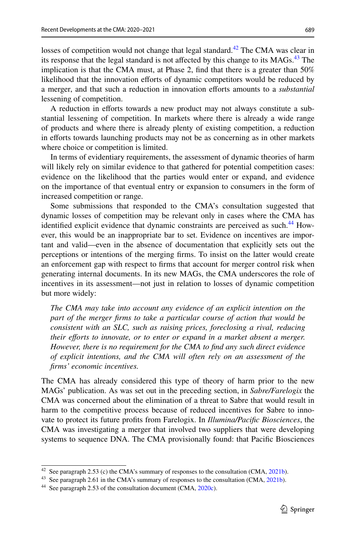losses of competition would not change that legal standard.<sup>42</sup> The CMA was clear in its response that the legal standard is not affected by this change to its  $MAGs$ .<sup>[43](#page-24-1)</sup> The implication is that the CMA must, at Phase 2, fnd that there is a greater than 50% likelihood that the innovation eforts of dynamic competitors would be reduced by a merger, and that such a reduction in innovation efforts amounts to a *substantial* lessening of competition.

A reduction in eforts towards a new product may not always constitute a substantial lessening of competition. In markets where there is already a wide range of products and where there is already plenty of existing competition, a reduction in efforts towards launching products may not be as concerning as in other markets where choice or competition is limited.

In terms of evidentiary requirements, the assessment of dynamic theories of harm will likely rely on similar evidence to that gathered for potential competition cases: evidence on the likelihood that the parties would enter or expand, and evidence on the importance of that eventual entry or expansion to consumers in the form of increased competition or range.

Some submissions that responded to the CMA's consultation suggested that dynamic losses of competition may be relevant only in cases where the CMA has identified explicit evidence that dynamic constraints are perceived as such.<sup>44</sup> However, this would be an inappropriate bar to set. Evidence on incentives are important and valid—even in the absence of documentation that explicitly sets out the perceptions or intentions of the merging frms. To insist on the latter would create an enforcement gap with respect to frms that account for merger control risk when generating internal documents. In its new MAGs, the CMA underscores the role of incentives in its assessment—not just in relation to losses of dynamic competition but more widely:

*The CMA may take into account any evidence of an explicit intention on the part of the merger firms to take a particular course of action that would be consistent with an SLC, such as raising prices, foreclosing a rival, reducing their eforts to innovate, or to enter or expand in a market absent a merger. However, there is no requirement for the CMA to fnd any such direct evidence of explicit intentions, and the CMA will often rely on an assessment of the frms' economic incentives.*

The CMA has already considered this type of theory of harm prior to the new MAGs' publication. As was set out in the preceding section, in *Sabre/Farelogix* the CMA was concerned about the elimination of a threat to Sabre that would result in harm to the competitive process because of reduced incentives for Sabre to innovate to protect its future profts from Farelogix. In *Illumina/Pacifc Biosciences*, the CMA was investigating a merger that involved two suppliers that were developing systems to sequence DNA. The CMA provisionally found: that Pacifc Biosciences

<span id="page-24-0"></span><sup>&</sup>lt;sup>42</sup> See paragraph 2.53 (c) the CMA's summary of responses to the consultation (CMA,  $2021b$ ).

<span id="page-24-1"></span><sup>&</sup>lt;sup>43</sup> See paragraph 2.61 in the CMA's summary of responses to the consultation (CMA, [2021b](#page-26-18)).

<span id="page-24-2"></span><sup>&</sup>lt;sup>44</sup> See paragraph 2.53 of the consultation document (CMA, [2020c\)](#page-26-17).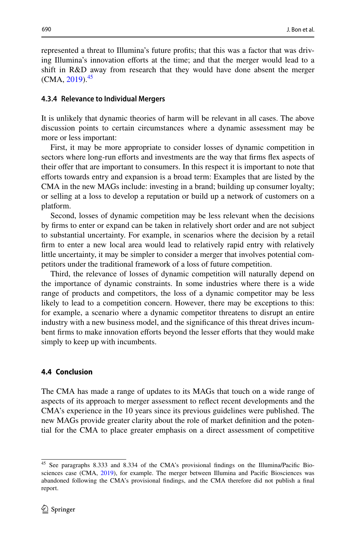represented a threat to Illumina's future profts; that this was a factor that was driving Illumina's innovation eforts at the time; and that the merger would lead to a shift in R&D away from research that they would have done absent the merger  $(CMA, 2019).$  $(CMA, 2019).$  $(CMA, 2019).$ <sup>[45](#page-25-0)</sup>

#### **4.3.4 Relevance to Individual Mergers**

It is unlikely that dynamic theories of harm will be relevant in all cases. The above discussion points to certain circumstances where a dynamic assessment may be more or less important:

First, it may be more appropriate to consider losses of dynamic competition in sectors where long-run efforts and investments are the way that firms flex aspects of their ofer that are important to consumers. In this respect it is important to note that eforts towards entry and expansion is a broad term: Examples that are listed by the CMA in the new MAGs include: investing in a brand; building up consumer loyalty; or selling at a loss to develop a reputation or build up a network of customers on a platform.

Second, losses of dynamic competition may be less relevant when the decisions by frms to enter or expand can be taken in relatively short order and are not subject to substantial uncertainty. For example, in scenarios where the decision by a retail frm to enter a new local area would lead to relatively rapid entry with relatively little uncertainty, it may be simpler to consider a merger that involves potential competitors under the traditional framework of a loss of future competition.

Third, the relevance of losses of dynamic competition will naturally depend on the importance of dynamic constraints. In some industries where there is a wide range of products and competitors, the loss of a dynamic competitor may be less likely to lead to a competition concern. However, there may be exceptions to this: for example, a scenario where a dynamic competitor threatens to disrupt an entire industry with a new business model, and the signifcance of this threat drives incumbent firms to make innovation efforts beyond the lesser efforts that they would make simply to keep up with incumbents.

### **4.4 Conclusion**

The CMA has made a range of updates to its MAGs that touch on a wide range of aspects of its approach to merger assessment to refect recent developments and the CMA's experience in the 10 years since its previous guidelines were published. The new MAGs provide greater clarity about the role of market defnition and the potential for the CMA to place greater emphasis on a direct assessment of competitive

<span id="page-25-0"></span><sup>45</sup> See paragraphs 8.333 and 8.334 of the CMA's provisional fndings on the Illumina/Pacifc Biosciences case (CMA, [2019](#page-26-19)), for example. The merger between Illumina and Pacifc Biosciences was abandoned following the CMA's provisional fndings, and the CMA therefore did not publish a fnal report.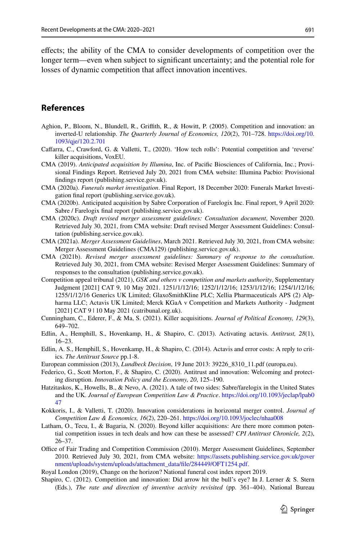efects; the ability of the CMA to consider developments of competition over the longer term—even when subject to signifcant uncertainty; and the potential role for losses of dynamic competition that afect innovation incentives.

### **References**

- <span id="page-26-7"></span>Aghion, P., Bloom, N., Blundell, R., Grifth, R., & Howitt, P. (2005). Competition and innovation: an inverted-U relationship. *The Quarterly Journal of Economics, 120*(2), 701–728. [https://doi.org/10.](https://doi.org/10.1093/qje/120.2.701) [1093/qje/120.2.701](https://doi.org/10.1093/qje/120.2.701)
- <span id="page-26-11"></span>Cafarra, C., Crawford, G. & Valletti, T., (2020). 'How tech rolls': Potential competition and 'reverse' killer acquisitions, VoxEU.
- <span id="page-26-19"></span>CMA (2019). *Anticipated acquisition by Illumina*, Inc. of Pacifc Biosciences of California, Inc.; Provisional Findings Report. Retrieved July 20, 2021 from CMA website: Illumina Pacbio: Provisional fndings report (publishing.service.gov.uk).
- <span id="page-26-4"></span>CMA (2020a). *Funerals market investigation*. Final Report, 18 December 2020: Funerals Market Investigation fnal report (publishing.service.gov.uk).
- <span id="page-26-6"></span>CMA (2020b). Anticipated acquisition by Sabre Corporation of Farelogix Inc. Final report, 9 April 2020: Sabre / Farelogix fnal report (publishing.service.gov.uk).
- <span id="page-26-17"></span>CMA (2020c). *Draft revised merger assessment guidelines: Consultation document*, November 2020. Retrieved July 30, 2021, from CMA website: Draft revised Merger Assessment Guidelines: Consultation (publishing.service.gov.uk).
- <span id="page-26-16"></span>CMA (2021a). *Merger Assessment Guidelines*, March 2021. Retrieved July 30, 2021, from CMA website: Merger Assessment Guidelines (CMA129) (publishing.service.gov.uk).
- <span id="page-26-18"></span>CMA (2021b). *Revised merger assessment guidelines: Summary of response to the consultation*. Retrieved July 30, 2021, from CMA website: Revised Merger Assessment Guidelines: Summary of responses to the consultation (publishing.service.gov.uk).
- <span id="page-26-0"></span>Competition appeal tribunal (2021), *GSK and others v competition and markets authority*, Supplementary Judgment [2021] CAT 9, 10 May 2021. 1251/1/12/16; 1252/1/12/16; 1253/1/12/16; 1254/1/12/16; 1255/1/12/16 Generics UK Limited; GlaxoSmithKline PLC; Xellia Pharmaceuticals APS (2) Alpharma LLC; Actavis UK Limited; Merck KGaA v Competition and Markets Authority - Judgment [2021] CAT 9 | 10 May 2021 (catribunal.org.uk).
- <span id="page-26-13"></span>Cunningham, C., Ederer, F., & Ma, S. (2021). Killer acquisitions. *Journal of Political Economy, 129*(3), 649–702.
- <span id="page-26-1"></span>Edlin, A., Hemphill, S., Hovenkamp, H., & Shapiro, C. (2013). Activating actavis. *Antitrust, 28*(1), 16–23.
- <span id="page-26-2"></span>Edlin, A. S., Hemphill, S., Hovenkamp, H., & Shapiro, C. (2014). Actavis and error costs: A reply to critics. *The Antitrust Source* pp.1-8.
- <span id="page-26-3"></span>European commission (2013), *Lundbeck Decision*, 19 June 2013: 39226\_8310\_11.pdf (europa.eu).
- <span id="page-26-10"></span>Federico, G., Scott Morton, F., & Shapiro, C. (2020). Antitrust and innovation: Welcoming and protecting disruption. *Innovation Policy and the Economy, 20*, 125–190.
- <span id="page-26-14"></span>Hatzitaskos, K., Howells, B., & Nevo, A. (2021). A tale of two sides: Sabre/farelogix in the United States and the UK. *Journal of European Competition Law & Practice*. [https://doi.org/10.1093/jeclap/lpab0](https://doi.org/10.1093/jeclap/lpab047) [47](https://doi.org/10.1093/jeclap/lpab047)
- <span id="page-26-8"></span>Kokkoris, I., & Valletti, T. (2020). Innovation considerations in horizontal merger control. *Journal of Competition Law & Economics, 16*(2), 220–261. <https://doi.org/10.1093/joclec/nhaa008>
- <span id="page-26-12"></span>Latham, O., Tecu, I., & Bagaria, N. (2020). Beyond killer acquisitions: Are there more common potential competition issues in tech deals and how can these be assessed? *CPI Antitrust Chronicle, 2*(2), 26–37.
- <span id="page-26-15"></span>Office of Fair Trading and Competition Commission (2010). Merger Assessment Guidelines, September 2010. Retrieved July 30, 2021, from CMA website: [https://assets.publishing.service.gov.uk/gover](https://assets.publishing.service.gov.uk/government/uploads/system/uploads/attachment_data/file/284449/OFT1254.pdf.) [nment/uploads/system/uploads/attachment\\_data/fle/284449/OFT1254.pdf.](https://assets.publishing.service.gov.uk/government/uploads/system/uploads/attachment_data/file/284449/OFT1254.pdf.)
- <span id="page-26-5"></span>Royal London (2019), Change on the horizon? National funeral cost index report 2019.
- <span id="page-26-9"></span>Shapiro, C. (2012). Competition and innovation: Did arrow hit the bull's eye? In J. Lerner & S. Stern (Eds.), *The rate and direction of inventive activity revisited* (pp. 361–404). National Bureau